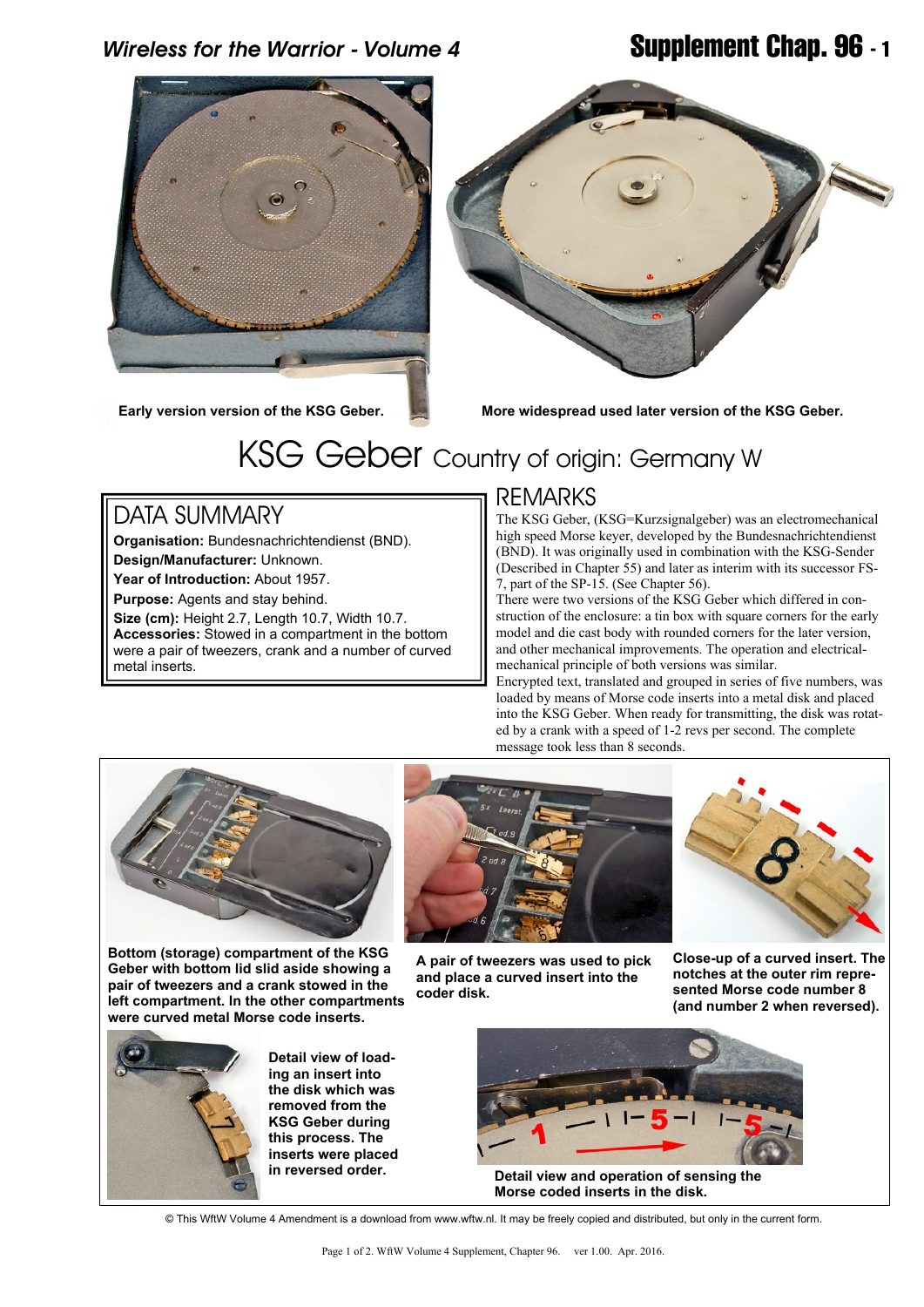### *Wireless for the Warrior - Volume 4* **Supplement Chap. 96 - 1**



**Early version version of the KSG Geber.**



**More widespread used later version of the KSG Geber.**

# KSG Geber Country of origin: Germany W

### DATA SUMMARY

**Organisation:** Bundesnachrichtendienst (BND). **Design/Manufacturer:** Unknown. **Year of Introduction:** About 1957.

**Purpose:** Agents and stay behind.

**Size (cm):** Height 2.7, Length 10.7, Width 10.7. **Accessories:** Stowed in a compartment in the bottom were a pair of tweezers, crank and a number of curved metal inserts.

#### REMARKS

The KSG Geber, (KSG=Kurzsignalgeber) was an electromechanical high speed Morse keyer, developed by the Bundesnachrichtendienst (BND). It was originally used in combination with the KSG-Sender (Described in Chapter 55) and later as interim with its successor FS-7, part of the SP-15. (See Chapter 56).

There were two versions of the KSG Geber which differed in construction of the enclosure: a tin box with square corners for the early model and die cast body with rounded corners for the later version, and other mechanical improvements. The operation and electricalmechanical principle of both versions was similar.

Encrypted text, translated and grouped in series of five numbers, was loaded by means of Morse code inserts into a metal disk and placed into the KSG Geber. When ready for transmitting, the disk was rotated by a crank with a speed of 1-2 revs per second. The complete message took less than 8 seconds.



**Bottom (storage) compartment of the KSG Geber with bottom lid slid aside showing a pair of tweezers and a crank stowed in the left compartment. In the other compartments were curved metal Morse code inserts.**



**A pair of tweezers was used to pick and place a curved insert into the coder disk.**



**Close-up of a curved insert. The notches at the outer rim represented Morse code number 8 (and number 2 when reversed).**



**Detail view of loading an insert into the disk which was removed from the KSG Geber during this process. The inserts were placed in reversed order.**



**Detail view and operation of sensing the Morse coded inserts in the disk.**

© This WftW Volume 4 Amendment is a download from www.wftw.nl. It may be freely copied and distributed, but only in the current form.